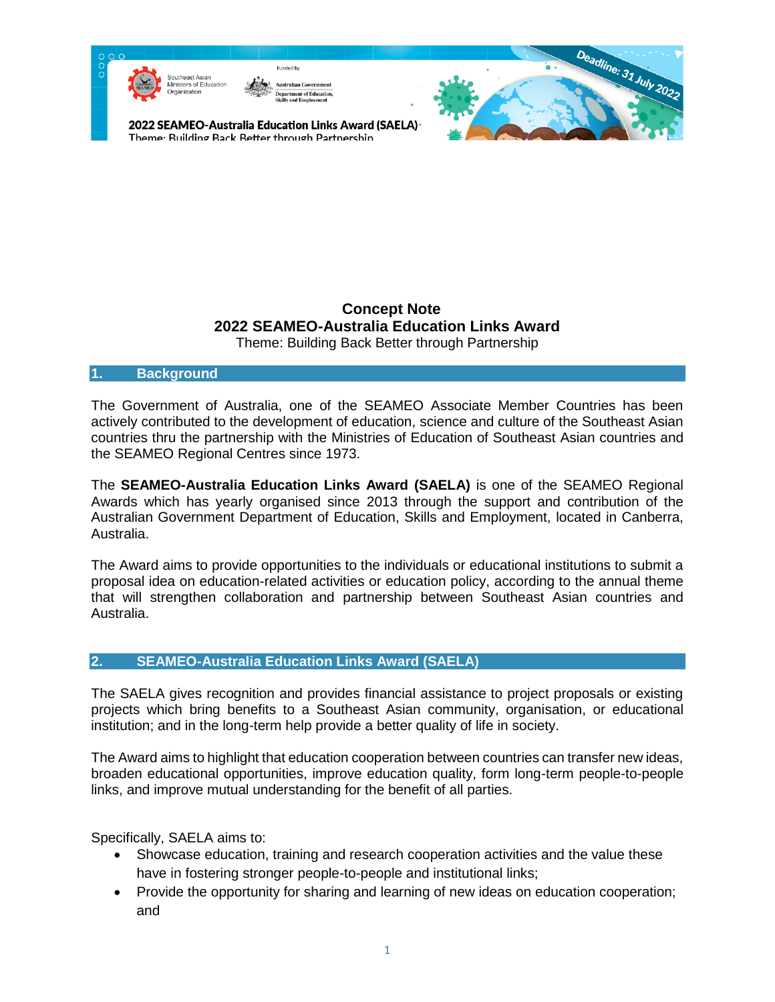#### **Concept Note 2022 SEAMEO-Australia Education Links Award**  Theme: Building Back Better through Partnership

#### **1. Background**

The Government of Australia, one of the SEAMEO Associate Member Countries has been actively contributed to the development of education, science and culture of the Southeast Asian countries thru the partnership with the Ministries of Education of Southeast Asian countries and the SEAMEO Regional Centres since 1973.

The **SEAMEO-Australia Education Links Award (SAELA)** is one of the SEAMEO Regional Awards which has yearly organised since 2013 through the support and contribution of the Australian Government Department of Education, Skills and Employment, located in Canberra, Australia.

The Award aims to provide opportunities to the individuals or educational institutions to submit a proposal idea on education-related activities or education policy, according to the annual theme that will strengthen collaboration and partnership between Southeast Asian countries and Australia.

### **2. SEAMEO-Australia Education Links Award (SAELA)**

The SAELA gives recognition and provides financial assistance to project proposals or existing projects which bring benefits to a Southeast Asian community, organisation, or educational institution; and in the long-term help provide a better quality of life in society.

The Award aims to highlight that education cooperation between countries can transfer new ideas, broaden educational opportunities, improve education quality, form long-term people-to-people links, and improve mutual understanding for the benefit of all parties.

Specifically, SAELA aims to:

- Showcase education, training and research cooperation activities and the value these have in fostering stronger people-to-people and institutional links;
- Provide the opportunity for sharing and learning of new ideas on education cooperation; and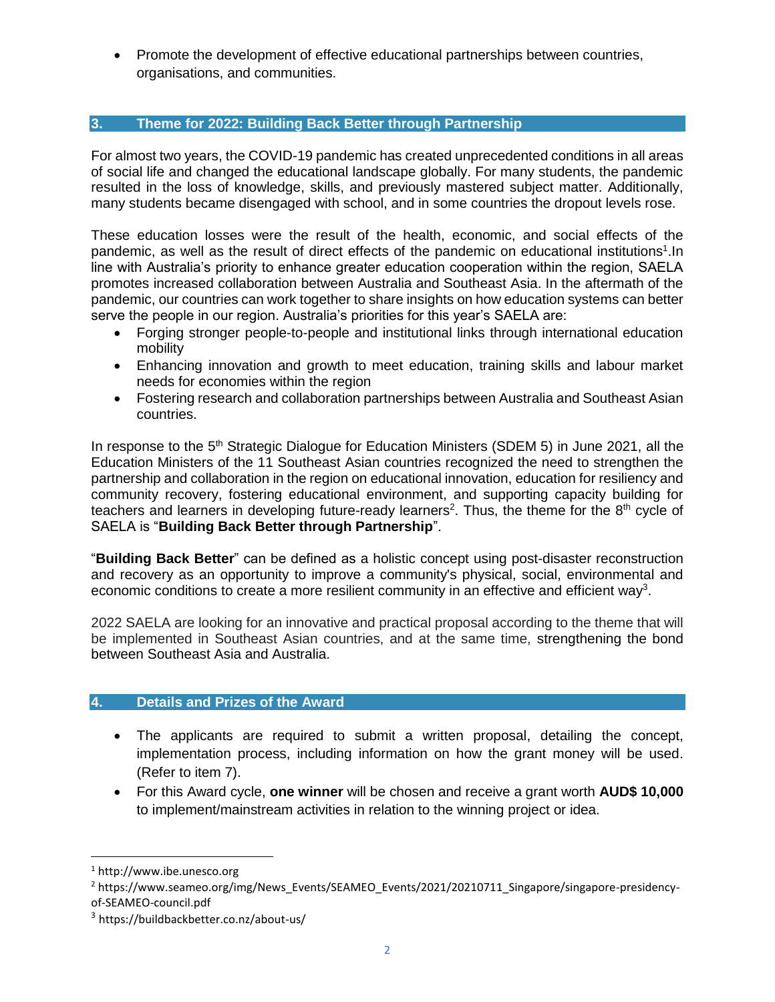• Promote the development of effective educational partnerships between countries, organisations, and communities.

### **3. Theme for 2022: Building Back Better through Partnership**

For almost two years, the COVID-19 pandemic has created unprecedented conditions in all areas of social life and changed the educational landscape globally. For many students, the pandemic resulted in the loss of knowledge, skills, and previously mastered subject matter. Additionally, many students became disengaged with school, and in some countries the dropout levels rose.

These education losses were the result of the health, economic, and social effects of the pandemic, as well as the result of direct effects of the pandemic on educational institutions<sup>1</sup>. In line with Australia's priority to enhance greater education cooperation within the region, SAELA promotes increased collaboration between Australia and Southeast Asia. In the aftermath of the pandemic, our countries can work together to share insights on how education systems can better serve the people in our region. Australia's priorities for this year's SAELA are:

- Forging stronger people-to-people and institutional links through international education mobility
- Enhancing innovation and growth to meet education, training skills and labour market needs for economies within the region
- Fostering research and collaboration partnerships between Australia and Southeast Asian countries.

In response to the 5<sup>th</sup> Strategic Dialogue for Education Ministers (SDEM 5) in June 2021, all the Education Ministers of the 11 Southeast Asian countries recognized the need to strengthen the partnership and collaboration in the region on educational innovation, education for resiliency and community recovery, fostering educational environment, and supporting capacity building for teachers and learners in developing future-ready learners<sup>2</sup>. Thus, the theme for the  $8<sup>th</sup>$  cycle of SAELA is "**Building Back Better through Partnership**".

"**Building Back Better**" can be defined as a holistic concept using post-disaster reconstruction and recovery as an opportunity to improve a community's physical, social, environmental and economic conditions to create a more resilient community in an effective and efficient way<sup>3</sup>.

2022 SAELA are looking for an innovative and practical proposal according to the theme that will be implemented in Southeast Asian countries, and at the same time, strengthening the bond between Southeast Asia and Australia.

### **4. Details and Prizes of the Award**

- The applicants are required to submit a written proposal, detailing the concept, implementation process, including information on how the grant money will be used. (Refer to item 7).
- For this Award cycle, **one winner** will be chosen and receive a grant worth **AUD\$ 10,000** to implement/mainstream activities in relation to the winning project or idea.

 $\overline{\phantom{a}}$ 

<sup>1</sup> http://www.ibe.unesco.org

<sup>&</sup>lt;sup>2</sup> https://www.seameo.org/img/News\_Events/SEAMEO\_Events/2021/20210711\_Singapore/singapore-presidencyof-SEAMEO-council.pdf

<sup>3</sup> <https://buildbackbetter.co.nz/about-us/>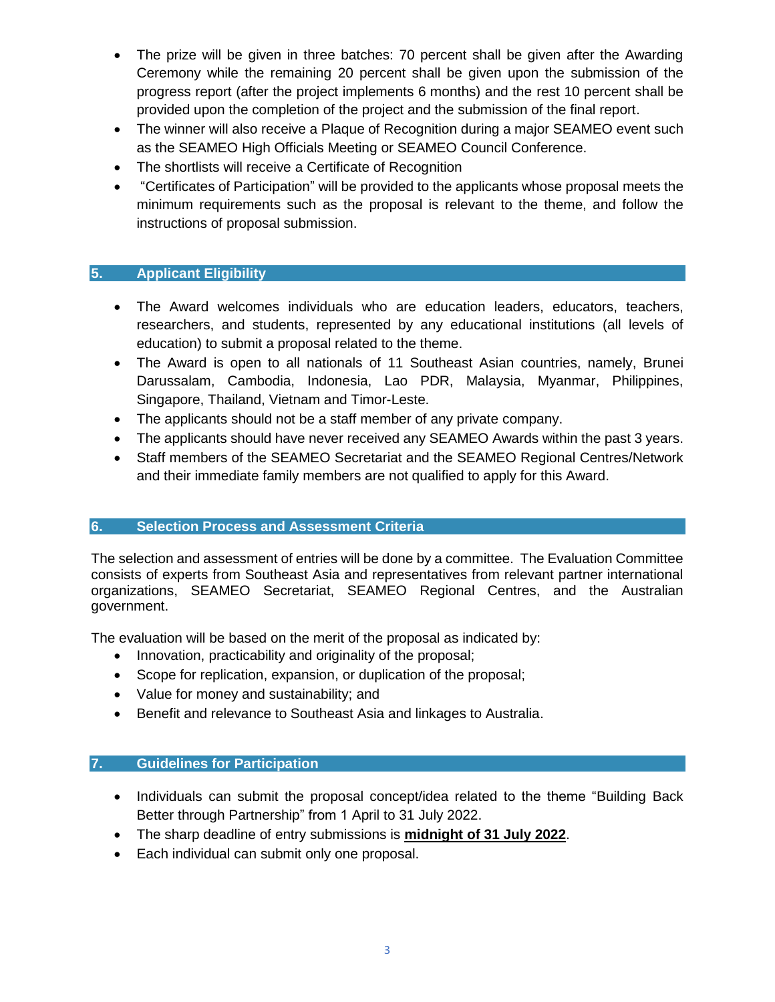- The prize will be given in three batches: 70 percent shall be given after the Awarding Ceremony while the remaining 20 percent shall be given upon the submission of the progress report (after the project implements 6 months) and the rest 10 percent shall be provided upon the completion of the project and the submission of the final report.
- The winner will also receive a Plaque of Recognition during a major SEAMEO event such as the SEAMEO High Officials Meeting or SEAMEO Council Conference.
- The shortlists will receive a Certificate of Recognition
- "Certificates of Participation" will be provided to the applicants whose proposal meets the minimum requirements such as the proposal is relevant to the theme, and follow the instructions of proposal submission.

# **5. Applicant Eligibility**

- The Award welcomes individuals who are education leaders, educators, teachers, researchers, and students, represented by any educational institutions (all levels of education) to submit a proposal related to the theme.
- The Award is open to all nationals of 11 Southeast Asian countries, namely, Brunei Darussalam, Cambodia, Indonesia, Lao PDR, Malaysia, Myanmar, Philippines, Singapore, Thailand, Vietnam and Timor-Leste.
- The applicants should not be a staff member of any private company.
- The applicants should have never received any SEAMEO Awards within the past 3 years.
- Staff members of the SEAMEO Secretariat and the SEAMEO Regional Centres/Network and their immediate family members are not qualified to apply for this Award.

### **6. Selection Process and Assessment Criteria**

The selection and assessment of entries will be done by a committee. The Evaluation Committee consists of experts from Southeast Asia and representatives from relevant partner international organizations, SEAMEO Secretariat, SEAMEO Regional Centres, and the Australian government.

The evaluation will be based on the merit of the proposal as indicated by:

- Innovation, practicability and originality of the proposal;
- Scope for replication, expansion, or duplication of the proposal;
- Value for money and sustainability; and
- Benefit and relevance to Southeast Asia and linkages to Australia.

### **7. Guidelines for Participation**

- Individuals can submit the proposal concept/idea related to the theme "Building Back Better through Partnership" from 1 April to 31 July 2022.
- The sharp deadline of entry submissions is **midnight of 31 July 2022**.
- Each individual can submit only one proposal.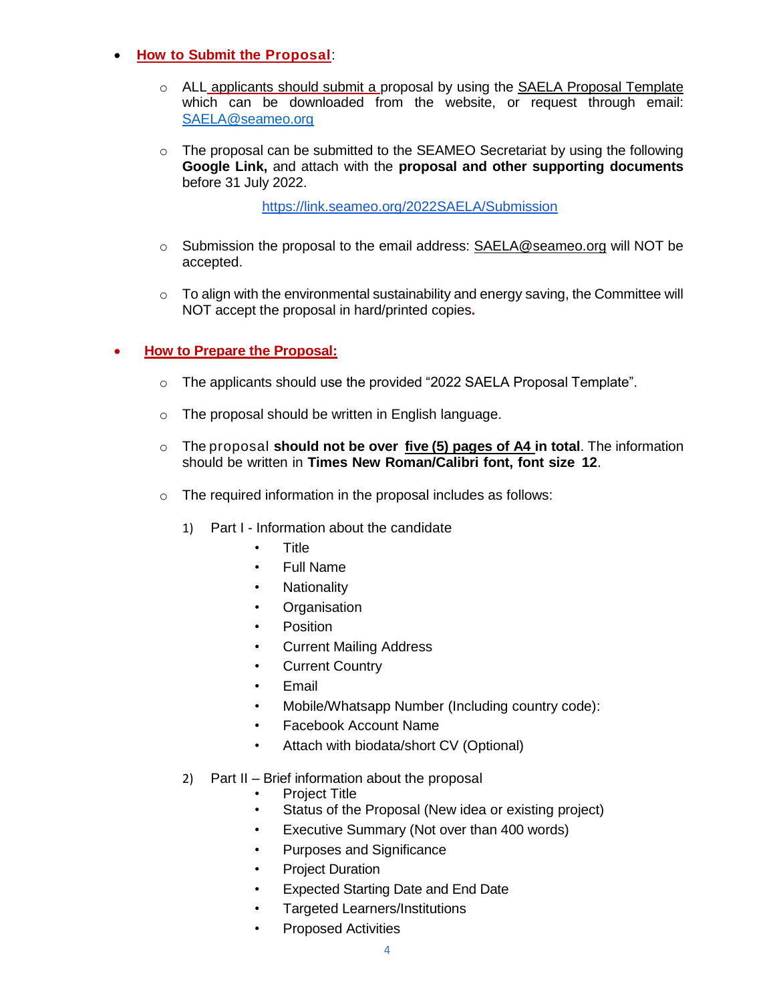### • **How to Submit the Proposal**:

- $\circ$  ALL applicants should submit a proposal by using the SAELA Proposal Template which can be downloaded from the website, or request through email: [SAELA@seameo.org](mailto:SAELA@seameo.org)
- $\circ$  The proposal can be submitted to the SEAMEO Secretariat by using the following **Google Link,** and attach with the **proposal and other supporting documents**  before 31 July 2022.

<https://link.seameo.org/2022SAELA/Submission>

- $\circ$  Submission the proposal to the email address: [SAELA@seameo.org](mailto:SAELA@seameo.org) will NOT be accepted.
- $\circ$  To align with the environmental sustainability and energy saving, the Committee will NOT accept the proposal in hard/printed copies**.**

### • **How to Prepare the Proposal:**

- o The applicants should use the provided "2022 SAELA Proposal Template".
- o The proposal should be written in English language.
- o The proposal **should not be over five (5) pages of A4 in total**. The information should be written in **Times New Roman/Calibri font, font size 12**.
- o The required information in the proposal includes as follows:
	- 1) Part I Information about the candidate
		- Title
		- Full Name
		- Nationality
		- **Organisation**
		- **Position**
		- **Current Mailing Address**
		- **Current Country**
		- Email
		- Mobile/Whatsapp Number (Including country code):
		- Facebook Account Name
		- Attach with biodata/short CV (Optional)
	- 2) Part II Brief information about the proposal
		- **Project Title**
		- Status of the Proposal (New idea or existing project)
		- Executive Summary (Not over than 400 words)
		- Purposes and Significance
		- **Project Duration**
		- Expected Starting Date and End Date
		- Targeted Learners/Institutions
			- Proposed Activities